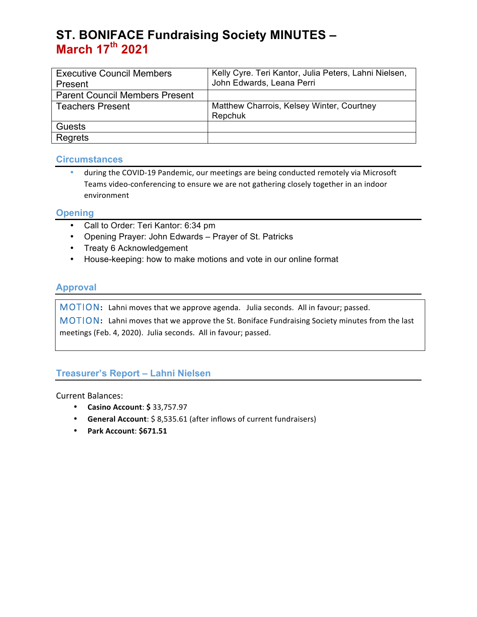# **ST. BONIFACE Fundraising Society MINUTES – March 17th 2021**

| <b>Executive Council Members</b><br>Present | Kelly Cyre. Teri Kantor, Julia Peters, Lahni Nielsen,<br>John Edwards, Leana Perri |
|---------------------------------------------|------------------------------------------------------------------------------------|
| <b>Parent Council Members Present</b>       |                                                                                    |
|                                             |                                                                                    |
| <b>Teachers Present</b>                     | Matthew Charrois, Kelsey Winter, Courtney                                          |
|                                             | Repchuk                                                                            |
| Guests                                      |                                                                                    |
| Regrets                                     |                                                                                    |

### **Circumstances**

during the COVID-19 Pandemic, our meetings are being conducted remotely via Microsoft Teams video-conferencing to ensure we are not gathering closely together in an indoor environment

### **Opening**

- Call to Order: Teri Kantor: 6:34 pm
- Opening Prayer: John Edwards Prayer of St. Patricks
- Treaty 6 Acknowledgement
- House-keeping: how to make motions and vote in our online format

### **Approval**

MOTION: Lahni moves that we approve agenda. Julia seconds. All in favour; passed.

MOTION: Lahni moves that we approve the St. Boniface Fundraising Society minutes from the last meetings (Feb. 4, 2020). Julia seconds. All in favour; passed.

### **Treasurer's Report – Lahni Nielsen**

Current Balances:

- **Casino Account**: **\$** 33,757.97
- **General Account**: \$ 8,535.61 (after inflows of current fundraisers)
- **Park Account**: **\$671.51**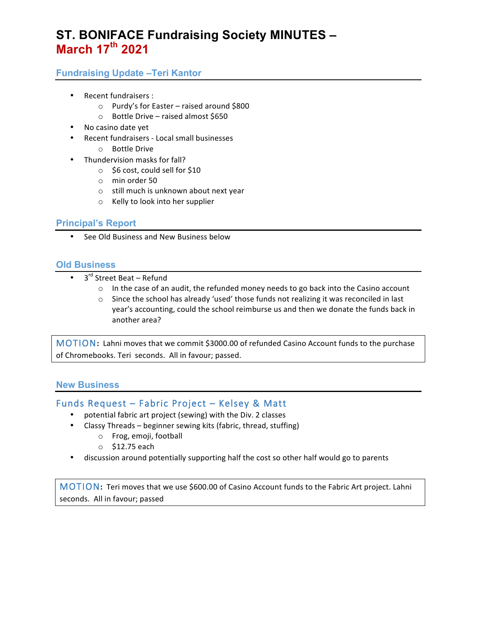# **ST. BONIFACE Fundraising Society MINUTES – March 17th 2021**

## **Fundraising Update –Teri Kantor**

- Recent fundraisers :
	- $\circ$  Purdy's for Easter raised around \$800
	- $\circ$  Bottle Drive raised almost \$650
- No casino date yet
- Recent fundraisers Local small businesses
	- $\circ$  Bottle Drive
- Thundervision masks for fall?
	- $\circ$  \$6 cost, could sell for \$10
	- o min order 50
	- $\circ$  still much is unknown about next year
	- o Kelly to look into her supplier

#### **Principal's Report**

See Old Business and New Business below

### **Old Business**

- $3<sup>rd</sup>$  Street Beat Refund
	- $\circ$  In the case of an audit, the refunded money needs to go back into the Casino account
	- $\circ$  Since the school has already 'used' those funds not realizing it was reconciled in last year's accounting, could the school reimburse us and then we donate the funds back in another area?

MOTION: Lahni moves that we commit \$3000.00 of refunded Casino Account funds to the purchase of Chromebooks. Teri seconds. All in favour; passed.

#### **New Business**

### Funds Request – Fabric Project – Kelsey & Matt

- potential fabric art project (sewing) with the Div. 2 classes
- Classy Threads  $-$  beginner sewing kits (fabric, thread, stuffing)
	- o Frog, emoji, football
	- $\circ$  \$12.75 each
- discussion around potentially supporting half the cost so other half would go to parents

MOTION: Teri moves that we use \$600.00 of Casino Account funds to the Fabric Art project. Lahni seconds. All in favour; passed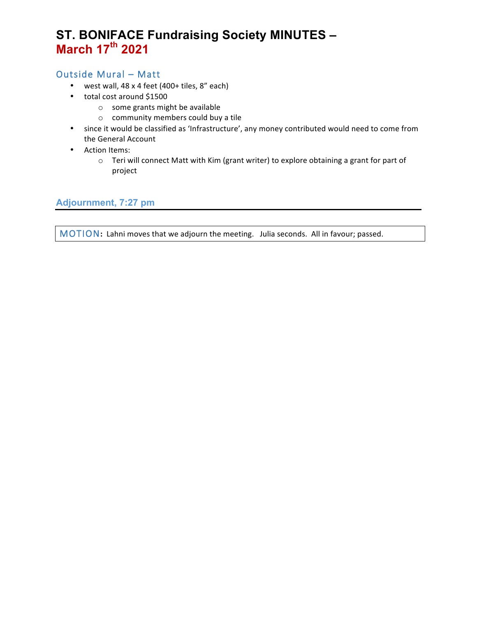# **ST. BONIFACE Fundraising Society MINUTES – March 17th 2021**

## Outside Mural – Matt

- west wall,  $48 \times 4$  feet (400+ tiles,  $8''$  each)
- total cost around \$1500
	- $\circ$  some grants might be available
	- $\circ$  community members could buy a tile
- since it would be classified as 'Infrastructure', any money contributed would need to come from the General Account
- Action Items:
	- o Teri will connect Matt with Kim (grant writer) to explore obtaining a grant for part of project

**Adjournment, 7:27 pm**

MOTION: Lahni moves that we adjourn the meeting. Julia seconds. All in favour; passed.